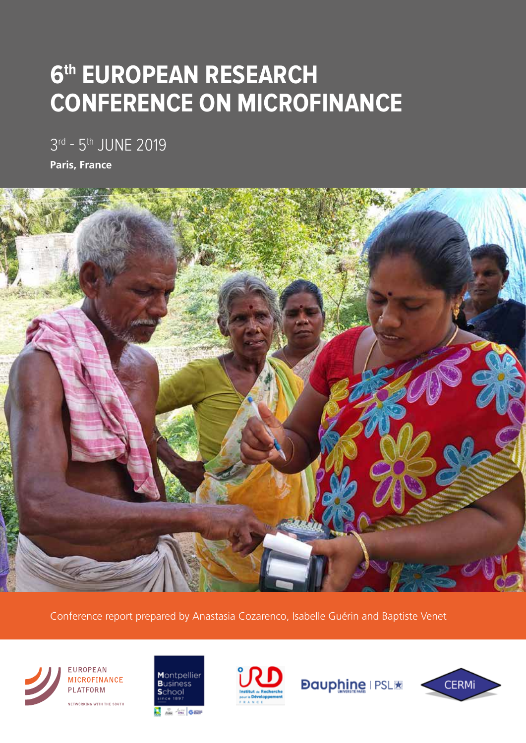## **6th EUROPEAN RESEARCH CONFERENCE ON MICROFINANCE**

3rd - 5<sup>th</sup> JUNE 2019

**Paris, France**



Conference report prepared by Anastasia Cozarenco, Isabelle Guérin and Baptiste Venet







**Dauphine I PSLIK** 

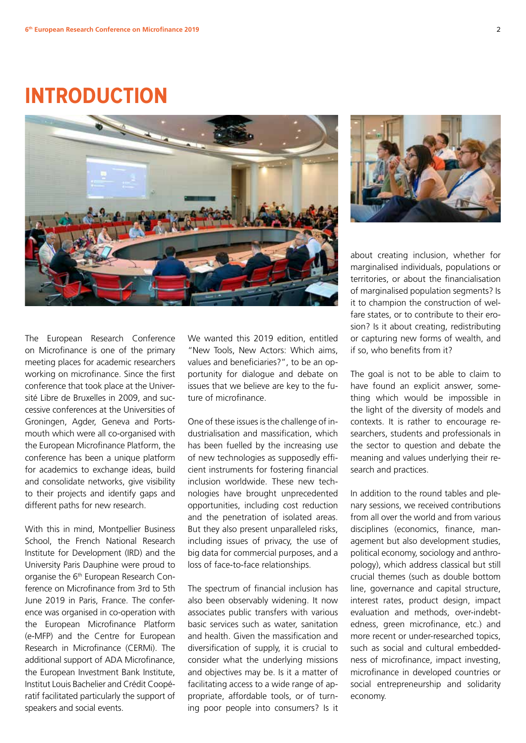### **INTRODUCTION**





The European Research Conference on Microfinance is one of the primary meeting places for academic researchers working on microfinance. Since the first conference that took place at the Université Libre de Bruxelles in 2009, and successive conferences at the Universities of Groningen, Agder, Geneva and Portsmouth which were all co-organised with the European Microfinance Platform, the conference has been a unique platform for academics to exchange ideas, build and consolidate networks, give visibility to their projects and identify gaps and different paths for new research.

With this in mind, Montpellier Business School, the French National Research Institute for Development (IRD) and the University Paris Dauphine were proud to organise the 6th European Research Conference on Microfinance from 3rd to 5th June 2019 in Paris, France. The conference was organised in co-operation with the European Microfinance Platform (e-MFP) and the Centre for European Research in Microfinance (CERMi). The additional support of ADA Microfinance, the European Investment Bank Institute, Institut Louis Bachelier and Crédit Coopératif facilitated particularly the support of speakers and social events.

We wanted this 2019 edition, entitled "New Tools, New Actors: Which aims, values and beneficiaries?", to be an opportunity for dialogue and debate on issues that we believe are key to the future of microfinance.

One of these issues is the challenge of industrialisation and massification, which has been fuelled by the increasing use of new technologies as supposedly efficient instruments for fostering financial inclusion worldwide. These new technologies have brought unprecedented opportunities, including cost reduction and the penetration of isolated areas. But they also present unparalleled risks, including issues of privacy, the use of big data for commercial purposes, and a loss of face-to-face relationships.

The spectrum of financial inclusion has also been observably widening. It now associates public transfers with various basic services such as water, sanitation and health. Given the massification and diversification of supply, it is crucial to consider what the underlying missions and objectives may be. Is it a matter of facilitating access to a wide range of appropriate, affordable tools, or of turning poor people into consumers? Is it

about creating inclusion, whether for marginalised individuals, populations or territories, or about the financialisation of marginalised population segments? Is it to champion the construction of welfare states, or to contribute to their erosion? Is it about creating, redistributing or capturing new forms of wealth, and if so, who benefits from it?

The goal is not to be able to claim to have found an explicit answer, something which would be impossible in the light of the diversity of models and contexts. It is rather to encourage researchers, students and professionals in the sector to question and debate the meaning and values underlying their research and practices.

In addition to the round tables and plenary sessions, we received contributions from all over the world and from various disciplines (economics, finance, management but also development studies, political economy, sociology and anthropology), which address classical but still crucial themes (such as double bottom line, governance and capital structure, interest rates, product design, impact evaluation and methods, over-indebtedness, green microfinance, etc.) and more recent or under-researched topics, such as social and cultural embeddedness of microfinance, impact investing, microfinance in developed countries or social entrepreneurship and solidarity economy.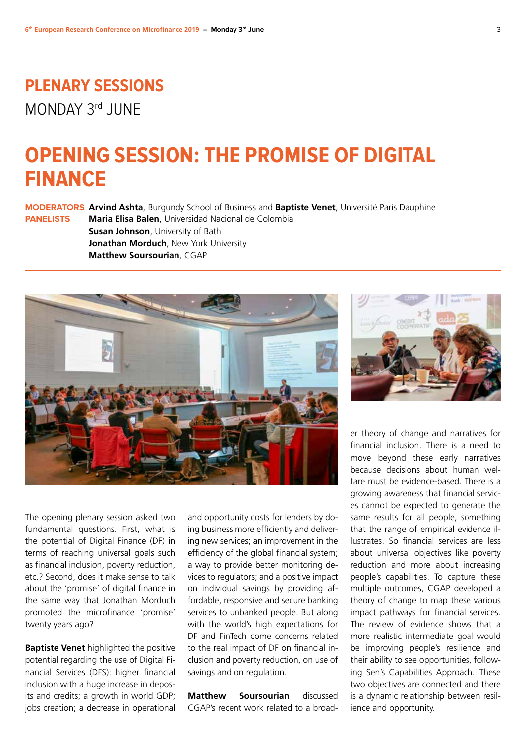# **PLENARY SESSIONS**

MONDAY 3rd JUNE

### **OPENING SESSION: THE PROMISE OF DIGITAL FINANCE**

**MODERATORS Arvind Ashta**, Burgundy School of Business and **Baptiste Venet**, Université Paris Dauphine **PANELISTS Maria Elisa Balen**, Universidad Nacional de Colombia **Susan Johnson**, University of Bath **Jonathan Morduch**, New York University **Matthew Soursourian**, CGAP



The opening plenary session asked two fundamental questions. First, what is the potential of Digital Finance (DF) in terms of reaching universal goals such as financial inclusion, poverty reduction, etc.? Second, does it make sense to talk about the 'promise' of digital finance in the same way that Jonathan Morduch promoted the microfinance 'promise' twenty years ago?

**Baptiste Venet** highlighted the positive potential regarding the use of Digital Financial Services (DFS): higher financial inclusion with a huge increase in deposits and credits; a growth in world GDP; jobs creation; a decrease in operational

and opportunity costs for lenders by doing business more efficiently and delivering new services; an improvement in the efficiency of the global financial system; a way to provide better monitoring devices to regulators; and a positive impact on individual savings by providing affordable, responsive and secure banking services to unbanked people. But along with the world's high expectations for DF and FinTech come concerns related to the real impact of DF on financial inclusion and poverty reduction, on use of savings and on regulation.

**Matthew Soursourian** discussed CGAP's recent work related to a broad-



er theory of change and narratives for financial inclusion. There is a need to move beyond these early narratives because decisions about human welfare must be evidence-based. There is a growing awareness that financial services cannot be expected to generate the same results for all people, something that the range of empirical evidence illustrates. So financial services are less about universal objectives like poverty reduction and more about increasing people's capabilities. To capture these multiple outcomes, CGAP developed a theory of change to map these various impact pathways for financial services. The review of evidence shows that a more realistic intermediate goal would be improving people's resilience and their ability to see opportunities, following Sen's Capabilities Approach. These two objectives are connected and there is a dynamic relationship between resilience and opportunity.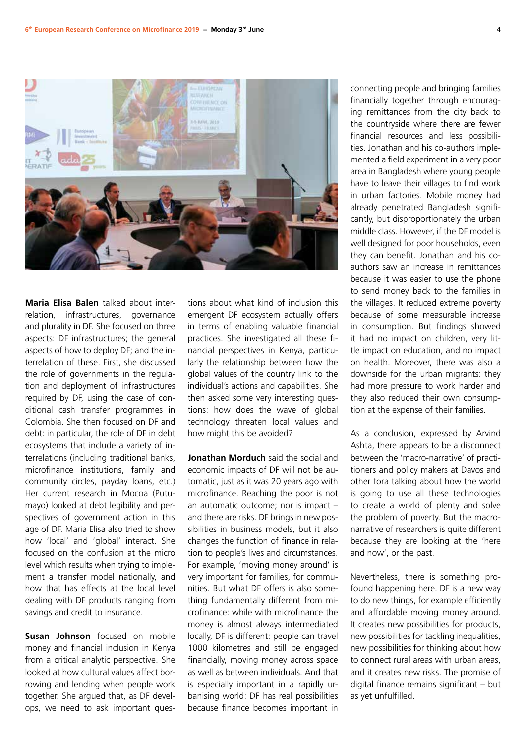

**Maria Elisa Balen** talked about interrelation, infrastructures, governance and plurality in DF. She focused on three aspects: DF infrastructures; the general aspects of how to deploy DF; and the interrelation of these. First, she discussed the role of governments in the regulation and deployment of infrastructures required by DF, using the case of conditional cash transfer programmes in Colombia. She then focused on DF and debt: in particular, the role of DF in debt ecosystems that include a variety of interrelations (including traditional banks, microfinance institutions, family and community circles, payday loans, etc.) Her current research in Mocoa (Putumayo) looked at debt legibility and perspectives of government action in this age of DF. Maria Elisa also tried to show how 'local' and 'global' interact. She focused on the confusion at the micro level which results when trying to implement a transfer model nationally, and how that has effects at the local level dealing with DF products ranging from savings and credit to insurance.

**Susan Johnson** focused on mobile money and financial inclusion in Kenya from a critical analytic perspective. She looked at how cultural values affect borrowing and lending when people work together. She argued that, as DF develops, we need to ask important questions about what kind of inclusion this emergent DF ecosystem actually offers in terms of enabling valuable financial practices. She investigated all these financial perspectives in Kenya, particularly the relationship between how the global values of the country link to the individual's actions and capabilities. She then asked some very interesting questions: how does the wave of global technology threaten local values and how might this be avoided?

**Jonathan Morduch** said the social and economic impacts of DF will not be automatic, just as it was 20 years ago with microfinance. Reaching the poor is not an automatic outcome; nor is impact – and there are risks. DF brings in new possibilities in business models, but it also changes the function of finance in relation to people's lives and circumstances. For example, 'moving money around' is very important for families, for communities. But what DF offers is also something fundamentally different from microfinance: while with microfinance the money is almost always intermediated locally, DF is different: people can travel 1000 kilometres and still be engaged financially, moving money across space as well as between individuals. And that is especially important in a rapidly urbanising world: DF has real possibilities because finance becomes important in connecting people and bringing families financially together through encouraging remittances from the city back to the countryside where there are fewer financial resources and less possibilities. Jonathan and his co-authors implemented a field experiment in a very poor area in Bangladesh where young people have to leave their villages to find work in urban factories. Mobile money had already penetrated Bangladesh significantly, but disproportionately the urban middle class. However, if the DF model is well designed for poor households, even they can benefit. Jonathan and his coauthors saw an increase in remittances because it was easier to use the phone to send money back to the families in the villages. It reduced extreme poverty because of some measurable increase in consumption. But findings showed it had no impact on children, very little impact on education, and no impact on health. Moreover, there was also a downside for the urban migrants: they had more pressure to work harder and they also reduced their own consumption at the expense of their families.

As a conclusion, expressed by Arvind Ashta, there appears to be a disconnect between the 'macro-narrative' of practitioners and policy makers at Davos and other fora talking about how the world is going to use all these technologies to create a world of plenty and solve the problem of poverty. But the macronarrative of researchers is quite different because they are looking at the 'here and now', or the past.

Nevertheless, there is something profound happening here. DF is a new way to do new things, for example efficiently and affordable moving money around. It creates new possibilities for products, new possibilities for tackling inequalities, new possibilities for thinking about how to connect rural areas with urban areas, and it creates new risks. The promise of digital finance remains significant – but as yet unfulfilled.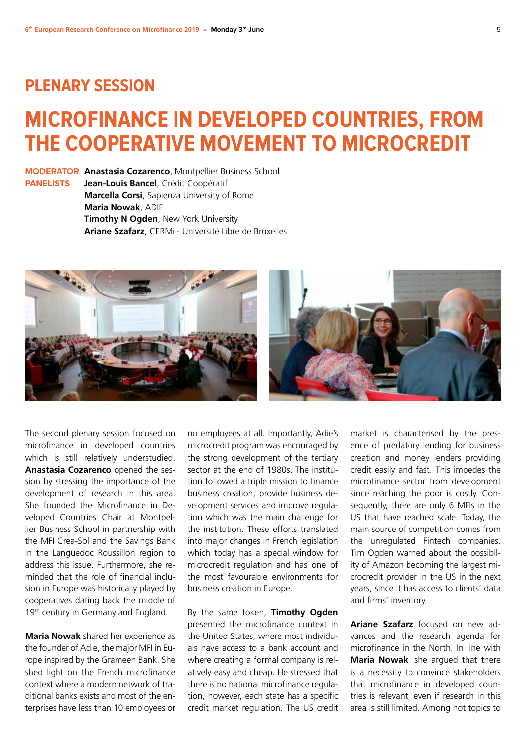#### **PLENARY SESSION**

### **MICROFINANCE IN DEVELOPED COUNTRIES, FROM THE COOPERATIVE MOVEMENT TO MICROCREDIT**

**MODERATOR Anastasia Cozarenco**, Montpellier Business School **PANELISTS Jean-Louis Bancel**, Crédit Coopératif **Marcella Corsi**, Sapienza University of Rome **Maria Nowak**, ADIE **Timothy N Ogden**, New York University **Ariane Szafarz**, CERMi - Université Libre de Bruxelles



The second plenary session focused on microfinance in developed countries which is still relatively understudied. **Anastasia Cozarenco** opened the session by stressing the importance of the development of research in this area. She founded the Microfinance in Developed Countries Chair at Montpellier Business School in partnership with the MFI Crea-Sol and the Savings Bank in the Languedoc Roussillon region to address this issue. Furthermore, she reminded that the role of financial inclusion in Europe was historically played by cooperatives dating back the middle of 19<sup>th</sup> century in Germany and England.

**Maria Nowak** shared her experience as the founder of Adie, the major MFI in Europe inspired by the Grameen Bank. She shed light on the French microfinance context where a modern network of traditional banks exists and most of the enterprises have less than 10 employees or

no employees at all. Importantly, Adie's microcredit program was encouraged by the strong development of the tertiary sector at the end of 1980s. The institution followed a triple mission to finance business creation, provide business development services and improve regulation which was the main challenge for the institution. These efforts translated into major changes in French legislation which today has a special window for microcredit regulation and has one of the most favourable environments for business creation in Europe.

By the same token, **Timothy Ogden** presented the microfinance context in the United States, where most individuals have access to a bank account and where creating a formal company is relatively easy and cheap. He stressed that there is no national microfinance regulation, however, each state has a specific credit market regulation. The US credit

market is characterised by the presence of predatory lending for business creation and money lenders providing credit easily and fast. This impedes the microfinance sector from development since reaching the poor is costly. Consequently, there are only 6 MFIs in the US that have reached scale. Today, the main source of competition comes from the unregulated Fintech companies. Tim Ogden warned about the possibility of Amazon becoming the largest microcredit provider in the US in the next years, since it has access to clients' data and firms' inventory.

**Ariane Szafarz** focused on new advances and the research agenda for microfinance in the North. In line with **Maria Nowak**, she argued that there is a necessity to convince stakeholders that microfinance in developed countries is relevant, even if research in this area is still limited. Among hot topics to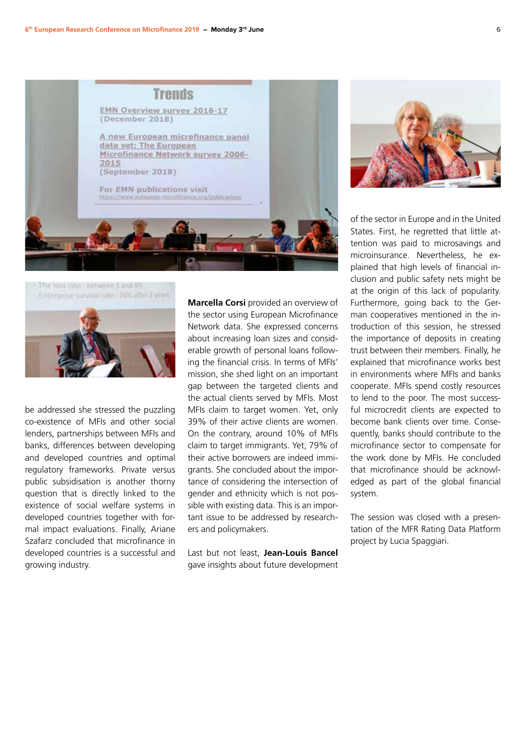





be addressed she stressed the puzzling co-existence of MFIs and other social lenders, partnerships between MFIs and banks, differences between developing and developed countries and optimal regulatory frameworks. Private versus public subsidisation is another thorny question that is directly linked to the existence of social welfare systems in developed countries together with formal impact evaluations. Finally, Ariane Szafarz concluded that microfinance in developed countries is a successful and growing industry.

**Marcella Corsi** provided an overview of the sector using European Microfinance Network data. She expressed concerns about increasing loan sizes and considerable growth of personal loans following the financial crisis. In terms of MFIs' mission, she shed light on an important gap between the targeted clients and the actual clients served by MFIs. Most MFIs claim to target women. Yet, only 39% of their active clients are women. On the contrary, around 10% of MFIs claim to target immigrants. Yet, 79% of their active borrowers are indeed immigrants. She concluded about the importance of considering the intersection of gender and ethnicity which is not possible with existing data. This is an important issue to be addressed by researchers and policymakers.

Last but not least, **Jean-Louis Bancel** gave insights about future development



of the sector in Europe and in the United States. First, he regretted that little attention was paid to microsavings and microinsurance. Nevertheless, he explained that high levels of financial inclusion and public safety nets might be at the origin of this lack of popularity. Furthermore, going back to the German cooperatives mentioned in the introduction of this session, he stressed the importance of deposits in creating trust between their members. Finally, he explained that microfinance works best in environments where MFIs and banks cooperate. MFIs spend costly resources to lend to the poor. The most successful microcredit clients are expected to become bank clients over time. Consequently, banks should contribute to the microfinance sector to compensate for the work done by MFIs. He concluded that microfinance should be acknowledged as part of the global financial system.

The session was closed with a presentation of the MFR Rating Data Platform project by Lucia Spaggiari.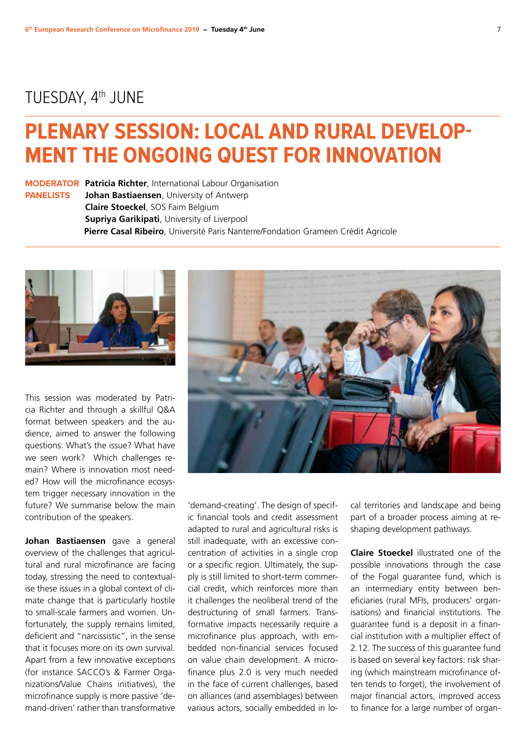#### TUESDAY, 4<sup>th</sup> JUNE

## **PLENARY SESSION: LOCAL AND RURAL DEVELOP-MENT THE ONGOING QUEST FOR INNOVATION**

**MODERATOR Patricia Richter**, International Labour Organisation **PANELISTS Johan Bastiaensen**, University of Antwerp **Claire Stoeckel**, SOS Faim Belgium **Supriya Garikipati**, University of Liverpool **Pierre Casal Ribeiro**, Université Paris Nanterre/Fondation Grameen Crédit Agricole



This session was moderated by Patricia Richter and through a skillful Q&A format between speakers and the audience, aimed to answer the following questions: What's the issue? What have we seen work? Which challenges remain? Where is innovation most needed? How will the microfinance ecosystem trigger necessary innovation in the future? We summarise below the main contribution of the speakers.

**Johan Bastiaensen** gave a general overview of the challenges that agricultural and rural microfinance are facing today, stressing the need to contextualise these issues in a global context of climate change that is particularly hostile to small-scale farmers and women. Unfortunately, the supply remains limited. deficient and "narcissistic", in the sense that it focuses more on its own survival. Apart from a few innovative exceptions (for instance SACCO's & Farmer Organizations/Value Chains initiatives), the microfinance supply is more passive 'demand-driven' rather than transformative



'demand-creating'. The design of specific financial tools and credit assessment adapted to rural and agricultural risks is still inadequate, with an excessive concentration of activities in a single crop or a specific region. Ultimately, the supply is still limited to short-term commercial credit, which reinforces more than it challenges the neoliberal trend of the destructuring of small farmers. Transformative impacts necessarily require a microfinance plus approach, with embedded non-financial services focused on value chain development. A microfinance plus 2.0 is very much needed in the face of current challenges, based on alliances (and assemblages) between various actors, socially embedded in local territories and landscape and being part of a broader process aiming at reshaping development pathways.

**Claire Stoeckel** illustrated one of the possible innovations through the case of the Fogal guarantee fund, which is an intermediary entity between beneficiaries (rural MFIs, producers' organisations) and financial institutions. The guarantee fund is a deposit in a financial institution with a multiplier effect of 2.12. The success of this guarantee fund is based on several key factors: risk sharing (which mainstream microfinance often tends to forget), the involvement of major financial actors, improved access to finance for a large number of organ-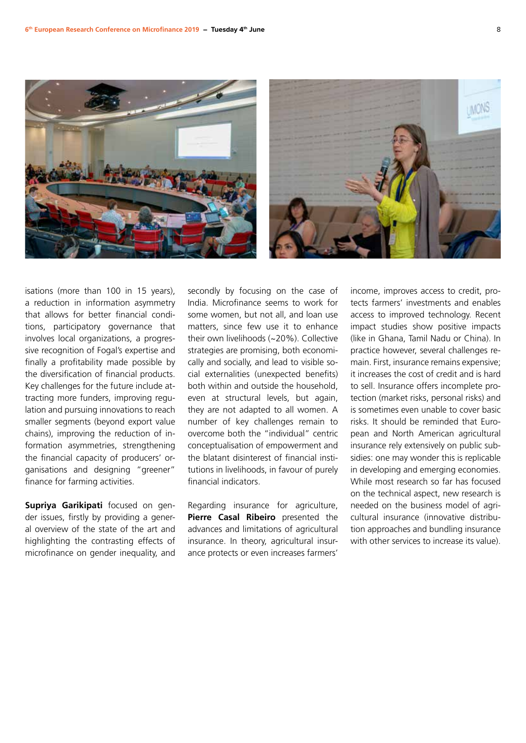



isations (more than 100 in 15 years), a reduction in information asymmetry that allows for better financial conditions, participatory governance that involves local organizations, a progressive recognition of Fogal's expertise and finally a profitability made possible by the diversification of financial products. Key challenges for the future include attracting more funders, improving regulation and pursuing innovations to reach smaller segments (beyond export value chains), improving the reduction of information asymmetries, strengthening the financial capacity of producers' organisations and designing "greener" finance for farming activities.

**Supriya Garikipati** focused on gender issues, firstly by providing a general overview of the state of the art and highlighting the contrasting effects of microfinance on gender inequality, and

secondly by focusing on the case of India. Microfinance seems to work for some women, but not all, and loan use matters, since few use it to enhance their own livelihoods (~20%). Collective strategies are promising, both economically and socially, and lead to visible social externalities (unexpected benefits) both within and outside the household, even at structural levels, but again, they are not adapted to all women. A number of key challenges remain to overcome both the "individual" centric conceptualisation of empowerment and the blatant disinterest of financial institutions in livelihoods, in favour of purely financial indicators.

Regarding insurance for agriculture, **Pierre Casal Ribeiro** presented the advances and limitations of agricultural insurance. In theory, agricultural insurance protects or even increases farmers'

income, improves access to credit, protects farmers' investments and enables access to improved technology. Recent impact studies show positive impacts (like in Ghana, Tamil Nadu or China). In practice however, several challenges remain. First, insurance remains expensive; it increases the cost of credit and is hard to sell. Insurance offers incomplete protection (market risks, personal risks) and is sometimes even unable to cover basic risks. It should be reminded that European and North American agricultural insurance rely extensively on public subsidies: one may wonder this is replicable in developing and emerging economies. While most research so far has focused on the technical aspect, new research is needed on the business model of agricultural insurance (innovative distribution approaches and bundling insurance with other services to increase its value).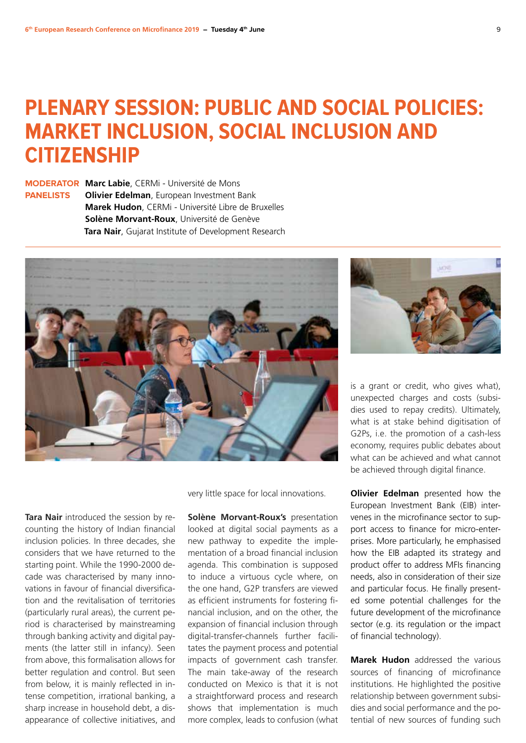### **PLENARY SESSION: PUBLIC AND SOCIAL POLICIES: MARKET INCLUSION, SOCIAL INCLUSION AND CITIZENSHIP**

**MODERATOR Marc Labie**, CERMi - Université de Mons **PANELISTS Olivier Edelman**, European Investment Bank **Marek Hudon**, CERMi - Université Libre de Bruxelles **Solène Morvant-Roux**, Université de Genève **Tara Nair**, Gujarat Institute of Development Research



**Tara Nair** introduced the session by recounting the history of Indian financial inclusion policies. In three decades, she considers that we have returned to the starting point. While the 1990-2000 decade was characterised by many innovations in favour of financial diversification and the revitalisation of territories (particularly rural areas), the current period is characterised by mainstreaming through banking activity and digital payments (the latter still in infancy). Seen from above, this formalisation allows for better regulation and control. But seen from below, it is mainly reflected in intense competition, irrational banking, a sharp increase in household debt, a disappearance of collective initiatives, and very little space for local innovations.

**Solène Morvant-Roux's presentation** looked at digital social payments as a new pathway to expedite the implementation of a broad financial inclusion agenda. This combination is supposed to induce a virtuous cycle where, on the one hand, G2P transfers are viewed as efficient instruments for fostering financial inclusion, and on the other, the expansion of financial inclusion through digital-transfer-channels further facilitates the payment process and potential impacts of government cash transfer. The main take-away of the research conducted on Mexico is that it is not a straightforward process and research shows that implementation is much more complex, leads to confusion (what



is a grant or credit, who gives what), unexpected charges and costs (subsidies used to repay credits). Ultimately, what is at stake behind digitisation of G2Ps, i.e. the promotion of a cash-less economy, requires public debates about what can be achieved and what cannot be achieved through digital finance.

**Olivier Edelman** presented how the European Investment Bank (EIB) intervenes in the microfinance sector to support access to finance for micro-enterprises. More particularly, he emphasised how the EIB adapted its strategy and product offer to address MFIs financing needs, also in consideration of their size and particular focus. He finally presented some potential challenges for the future development of the microfinance sector (e.g. its regulation or the impact of financial technology).

**Marek Hudon** addressed the various sources of financing of microfinance institutions. He highlighted the positive relationship between government subsidies and social performance and the potential of new sources of funding such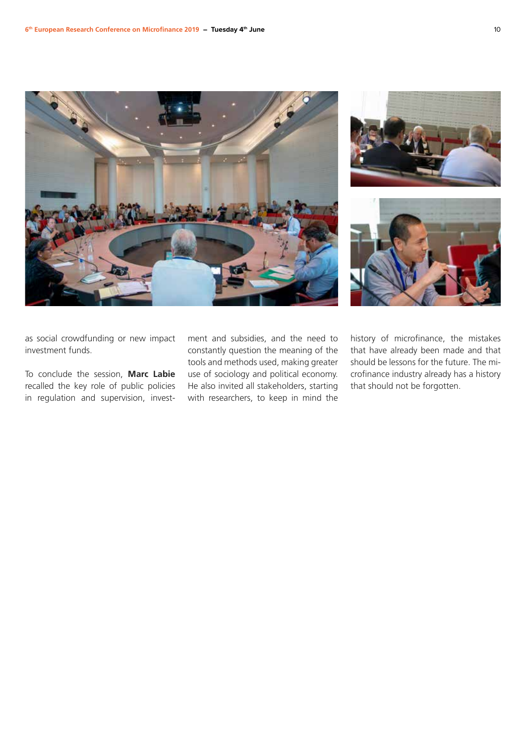







as social crowdfunding or new impact investment funds.

To conclude the session, **Marc Labie** recalled the key role of public policies in regulation and supervision, investment and subsidies, and the need to constantly question the meaning of the tools and methods used, making greater use of sociology and political economy. He also invited all stakeholders, starting with researchers, to keep in mind the

history of microfinance, the mistakes that have already been made and that should be lessons for the future. The microfinance industry already has a history that should not be forgotten.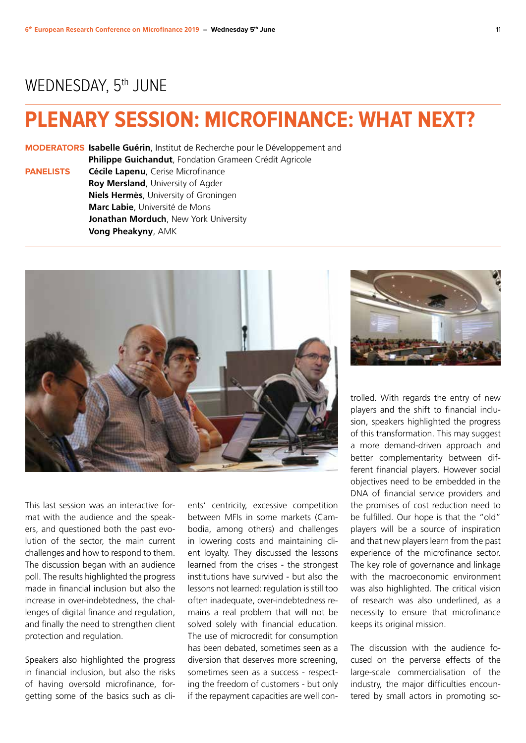#### WEDNESDAY, 5<sup>th</sup> JUNE

### **PLENARY SESSION: MICROFINANCE: WHAT NEXT?**

**MODERATORS Isabelle Guérin**, Institut de Recherche pour le Développement and

**Philippe Guichandut**, Fondation Grameen Crédit Agricole

**PANELISTS Cécile Lapenu**, Cerise Microfinance **Roy Mersland**, University of Agder **Niels Hermès**, University of Groningen **Marc Labie**, Université de Mons **Jonathan Morduch**, New York University **Vong Pheakyny**, AMK



This last session was an interactive format with the audience and the speakers, and questioned both the past evolution of the sector, the main current challenges and how to respond to them. The discussion began with an audience poll. The results highlighted the progress made in financial inclusion but also the increase in over-indebtedness, the challenges of digital finance and regulation, and finally the need to strengthen client protection and regulation.

Speakers also highlighted the progress in financial inclusion, but also the risks of having oversold microfinance, forgetting some of the basics such as clients' centricity, excessive competition between MFIs in some markets (Cambodia, among others) and challenges in lowering costs and maintaining client loyalty. They discussed the lessons learned from the crises - the strongest institutions have survived - but also the lessons not learned: regulation is still too often inadequate, over-indebtedness remains a real problem that will not be solved solely with financial education. The use of microcredit for consumption has been debated, sometimes seen as a diversion that deserves more screening, sometimes seen as a success - respecting the freedom of customers - but only if the repayment capacities are well con-



trolled. With regards the entry of new players and the shift to financial inclusion, speakers highlighted the progress of this transformation. This may suggest a more demand-driven approach and better complementarity between different financial players. However social objectives need to be embedded in the DNA of financial service providers and the promises of cost reduction need to be fulfilled. Our hope is that the "old" players will be a source of inspiration and that new players learn from the past experience of the microfinance sector. The key role of governance and linkage with the macroeconomic environment was also highlighted. The critical vision of research was also underlined, as a necessity to ensure that microfinance keeps its original mission.

The discussion with the audience focused on the perverse effects of the large-scale commercialisation of the industry, the major difficulties encountered by small actors in promoting so-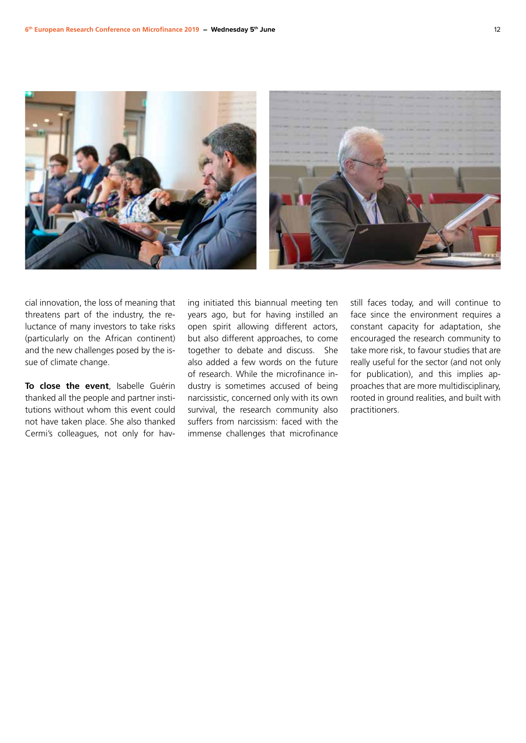

cial innovation, the loss of meaning that threatens part of the industry, the reluctance of many investors to take risks (particularly on the African continent) and the new challenges posed by the issue of climate change.

**To close the event**, Isabelle Guérin thanked all the people and partner institutions without whom this event could not have taken place. She also thanked Cermi's colleagues, not only for hav-

ing initiated this biannual meeting ten years ago, but for having instilled an open spirit allowing different actors, but also different approaches, to come together to debate and discuss. She also added a few words on the future of research. While the microfinance industry is sometimes accused of being narcissistic, concerned only with its own survival, the research community also suffers from narcissism: faced with the immense challenges that microfinance still faces today, and will continue to face since the environment requires a constant capacity for adaptation, she encouraged the research community to take more risk, to favour studies that are really useful for the sector (and not only for publication), and this implies approaches that are more multidisciplinary, rooted in ground realities, and built with practitioners.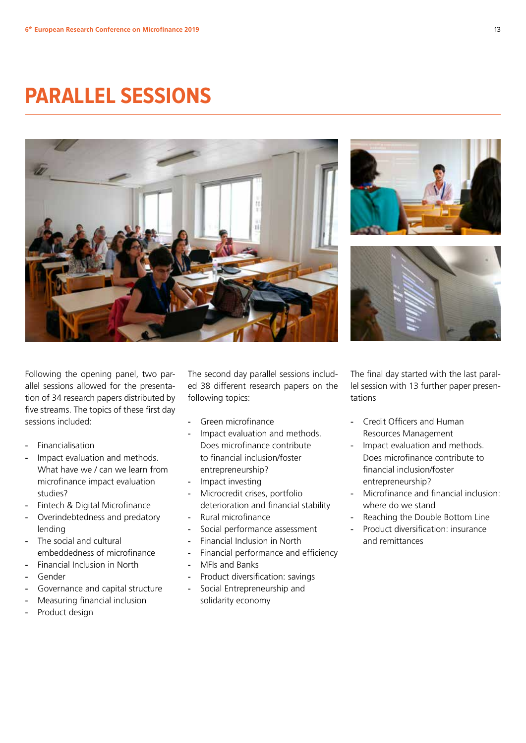## **PARALLEL SESSIONS**







Following the opening panel, two parallel sessions allowed for the presentation of 34 research papers distributed by five streams. The topics of these first day sessions included:

- Financialisation
- Impact evaluation and methods. What have we / can we learn from microfinance impact evaluation studies?
- Fintech & Digital Microfinance
- Overindebtedness and predatory lending
- The social and cultural embeddedness of microfinance
- Financial Inclusion in North
- Gender
- Governance and capital structure
- Measuring financial inclusion
- Product design

The second day parallel sessions included 38 different research papers on the following topics:

- Green microfinance
- Impact evaluation and methods. Does microfinance contribute to financial inclusion/foster entrepreneurship?
- Impact investing
- Microcredit crises, portfolio deterioration and financial stability
- Rural microfinance
- Social performance assessment
- Financial Inclusion in North
- Financial performance and efficiency
- MFIs and Banks
- Product diversification: savings
- Social Entrepreneurship and solidarity economy

The final day started with the last parallel session with 13 further paper presentations

- Credit Officers and Human Resources Management
- Impact evaluation and methods. Does microfinance contribute to financial inclusion/foster entrepreneurship?
- Microfinance and financial inclusion: where do we stand
- Reaching the Double Bottom Line
- Product diversification: insurance and remittances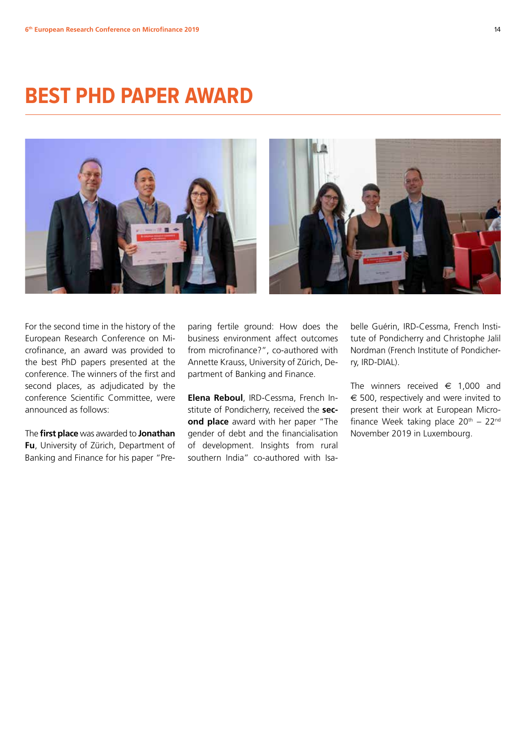### **BEST PHD PAPER AWARD**



For the second time in the history of the European Research Conference on Microfinance, an award was provided to the best PhD papers presented at the conference. The winners of the first and second places, as adjudicated by the conference Scientific Committee, were announced as follows:

The **first place** was awarded to **Jonathan Fu**, University of Zürich, Department of Banking and Finance for his paper "Preparing fertile ground: How does the business environment affect outcomes from microfinance?", co-authored with Annette Krauss, University of Zürich, Department of Banking and Finance.

**Elena Reboul**, IRD-Cessma, French Institute of Pondicherry, received the **second place** award with her paper "The gender of debt and the financialisation of development. Insights from rural southern India" co-authored with Isabelle Guérin, IRD-Cessma, French Institute of Pondicherry and Christophe Jalil Nordman (French Institute of Pondicherry, IRD-DIAL).

The winners received  $\epsilon$  1.000 and  $\epsilon$  500, respectively and were invited to present their work at European Microfinance Week taking place  $20<sup>th</sup> - 22<sup>nd</sup>$ November 2019 in Luxembourg.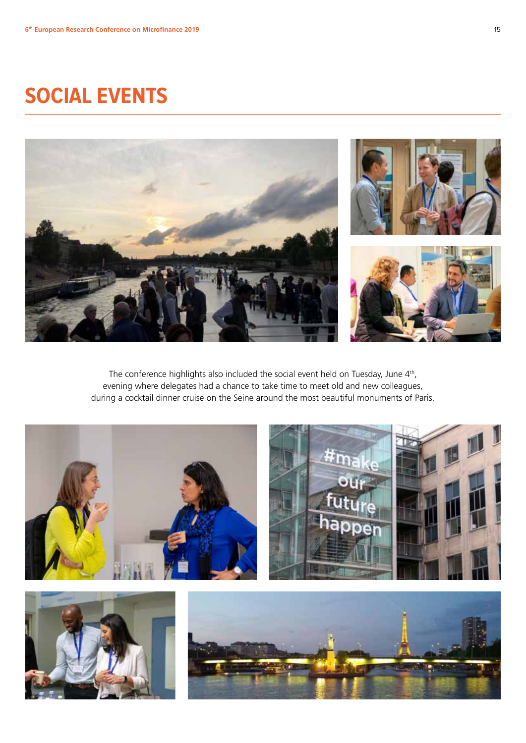## **SOCIAL EVENTS**



The conference highlights also included the social event held on Tuesday, June 4<sup>th</sup>, evening where delegates had a chance to take time to meet old and new colleagues, during a cocktail dinner cruise on the Seine around the most beautiful monuments of Paris.

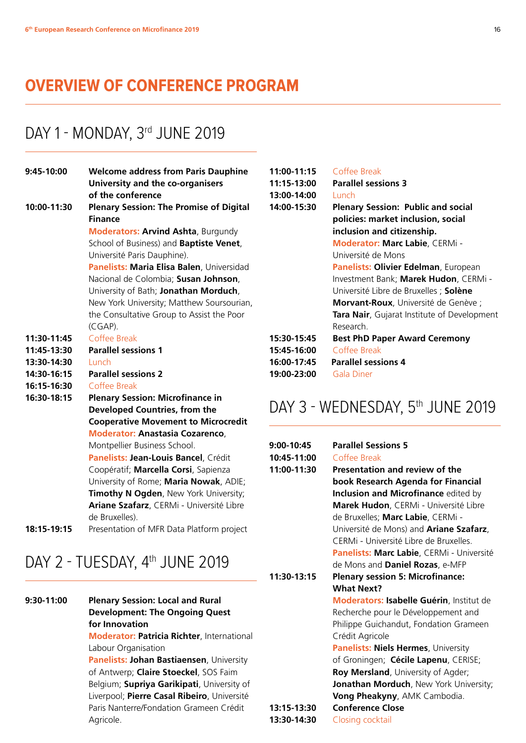#### **OVERVIEW OF CONFERENCE PROGRAM**

#### DAY 1 - MONDAY, 3rd JUNE 2019

| 9:45-10:00  | <b>Welcome address from Paris Dauphine</b>     |  |
|-------------|------------------------------------------------|--|
|             | University and the co-organisers               |  |
|             | of the conference                              |  |
| 10:00-11:30 | <b>Plenary Session: The Promise of Digital</b> |  |
|             | <b>Finance</b>                                 |  |
|             | <b>Moderators: Arvind Ashta, Burgundy</b>      |  |
|             | School of Business) and Baptiste Venet,        |  |
|             | Université Paris Dauphine).                    |  |
|             | Panelists: Maria Elisa Balen, Universidad      |  |
|             | Nacional de Colombia; Susan Johnson,           |  |
|             | University of Bath; Jonathan Morduch,          |  |
|             | New York University; Matthew Soursourian,      |  |
|             | the Consultative Group to Assist the Poor      |  |
|             | (CGAP).                                        |  |
| 11:30-11:45 | Coffee Break                                   |  |
| 11:45-13:30 | <b>Parallel sessions 1</b>                     |  |
| 13:30-14:30 | Lunch                                          |  |
| 14:30-16:15 | <b>Parallel sessions 2</b>                     |  |
| 16:15-16:30 | Coffee Break                                   |  |
| 16:30-18:15 | <b>Plenary Session: Microfinance in</b>        |  |
|             | Developed Countries, from the                  |  |
|             | <b>Cooperative Movement to Microcredit</b>     |  |
|             | <b>Moderator: Anastasia Cozarenco,</b>         |  |
|             | Montpellier Business School.                   |  |
|             | Panelists: Jean-Louis Bancel, Crédit           |  |
|             | Coopératif; Marcella Corsi, Sapienza           |  |
|             | University of Rome; Maria Nowak, ADIE;         |  |
|             | Timothy N Ogden, New York University;          |  |
|             | Ariane Szafarz, CERMi - Université Libre       |  |
|             | de Bruxelles).                                 |  |
| 18:15-19:15 | Presentation of MFR Data Platform project      |  |

#### DAY 2 - TUESDAY, 4<sup>th</sup> JUNE 2019

| 9:30-11:00 | <b>Plenary Session: Local and Rural</b>           |
|------------|---------------------------------------------------|
|            | <b>Development: The Ongoing Quest</b>             |
|            | for Innovation                                    |
|            | <b>Moderator: Patricia Richter, International</b> |
|            | Labour Organisation                               |

 **Panelists: Johan Bastiaensen**, University of Antwerp; **Claire Stoeckel**, SOS Faim Belgium; **Supriya Garikipati**, University of Liverpool; **Pierre Casal Ribeiro**, Université Paris Nanterre/Fondation Grameen Crédit Agricole.

| 11:00-11:15 | Coffee Break                                |
|-------------|---------------------------------------------|
| 11:15-13:00 | <b>Parallel sessions 3</b>                  |
| 13:00-14:00 | Lunch                                       |
| 14:00-15:30 | <b>Plenary Session: Public and social</b>   |
|             | policies: market inclusion, social          |
|             | inclusion and citizenship.                  |
|             | <b>Moderator: Marc Labie</b> , CERMi -      |
|             | Université de Mons                          |
|             | Panelists: Olivier Edelman, European        |
|             | Investment Bank; Marek Hudon, CERMi -       |
|             | Université Libre de Bruxelles ; Solène      |
|             | Morvant-Roux, Université de Genève ;        |
|             | Tara Nair, Gujarat Institute of Development |
|             | Research.                                   |
| 15:30-15:45 | <b>Best PhD Paper Award Ceremony</b>        |
| 15:45-16:00 | Coffee Break                                |
| 16:00-17:45 | <b>Parallel sessions 4</b>                  |
| 19:00-23:00 | Gala Diner                                  |

#### DAY 3 - WEDNESDAY, 5<sup>th</sup> JUNE 2019

| 9:00-10:45  | <b>Parallel Sessions 5</b>                      |  |
|-------------|-------------------------------------------------|--|
| 10:45-11:00 | Coffee Break                                    |  |
| 11:00-11:30 | Presentation and review of the                  |  |
|             | book Research Agenda for Financial              |  |
|             | <b>Inclusion and Microfinance edited by</b>     |  |
|             | Marek Hudon, CERMi - Université Libre           |  |
|             | de Bruxelles; Marc Labie, CERMi -               |  |
|             | Université de Mons) and Ariane Szafarz,         |  |
|             | CERMi - Université Libre de Bruxelles.          |  |
|             | Panelists: Marc Labie, CERMi - Université       |  |
|             | de Mons and Daniel Rozas, e-MFP                 |  |
| 11:30-13:15 | <b>Plenary session 5: Microfinance:</b>         |  |
|             | <b>What Next?</b>                               |  |
|             | <b>Moderators: Isabelle Guérin, Institut de</b> |  |
|             | Recherche pour le Développement and             |  |
|             | Philippe Guichandut, Fondation Grameen          |  |
|             | Crédit Agricole                                 |  |
|             | <b>Panelists: Niels Hermes, University</b>      |  |
|             | of Groningen; Cécile Lapenu, CERISE;            |  |
|             | Roy Mersland, University of Agder;              |  |
|             | <b>Jonathan Morduch</b> , New York University;  |  |
|             | Vong Pheakyny, AMK Cambodia.                    |  |
| 13:15-13:30 | <b>Conference Close</b>                         |  |
| 13:30-14:30 | Closing cocktail                                |  |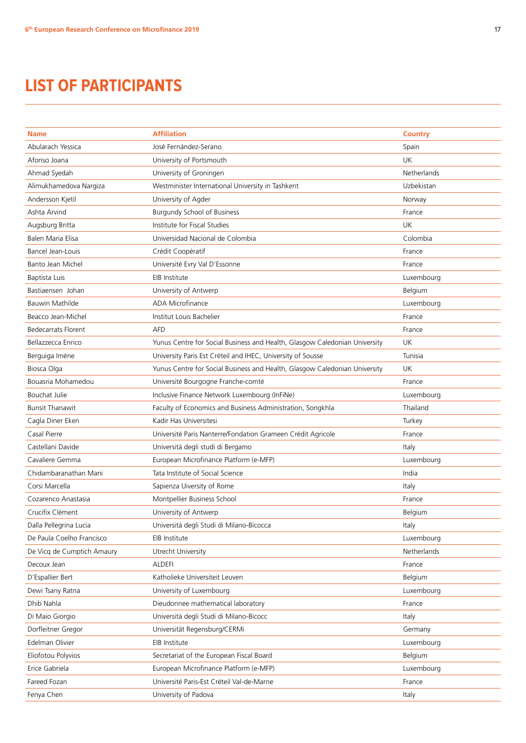#### **LIST OF PARTICIPANTS**

| <b>Name</b>                | <b>Affiliation</b>                                                         | <b>Country</b> |
|----------------------------|----------------------------------------------------------------------------|----------------|
| Abularach Yessica          | José Fernández-Serano                                                      | Spain          |
| Afonso Joana               | University of Portsmouth                                                   | <b>UK</b>      |
| Ahmad Syedah               | University of Groningen                                                    | Netherlands    |
| Alimukhamedova Nargiza     | Westminister International University in Tashkent                          | Uzbekistan     |
| Andersson Kjetil           |                                                                            |                |
| Ashta Arvind               | University of Agder<br><b>Burgundy School of Business</b>                  | Norway         |
|                            |                                                                            | France         |
| Augsburg Britta            | Institute for Fiscal Studies                                               | UK             |
| Balen Maria Elisa          | Universidad Nacional de Colombia                                           | Colombia       |
| <b>Bancel Jean-Louis</b>   | Crédit Coopératif                                                          | France         |
| Banto Jean Michel          | Université Evry Val D'Essonne                                              | France         |
| Baptista Luis              | EIB Institute                                                              | Luxembourg     |
| Bastiaensen Johan          | University of Antwerp                                                      | Belgium        |
| <b>Bauwin Mathilde</b>     | ADA Microfinance                                                           | Luxembourg     |
| Beacco Jean-Michel         | Institut Louis Bachelier                                                   | France         |
| <b>Bedecarrats Florent</b> | <b>AFD</b>                                                                 | France         |
| Bellazzecca Enrico         | Yunus Centre for Social Business and Health, Glasgow Caledonian University | <b>UK</b>      |
| Berguiga Imène             | University Paris Est Créteil and IHEC, University of Sousse                | Tunisia        |
| Biosca Olga                | Yunus Centre for Social Business and Health, Glasgow Caledonian University | UK             |
| Bouasria Mohamedou         | Université Bourgogne Franche-comté                                         | France         |
| Bouchat Julie              | Inclusive Finance Network Luxembourg (InFiNe)                              | Luxembourg     |
| <b>Bunsit Thanawit</b>     | Faculty of Economics and Business Administration, Songkhla                 | Thailand       |
| Cagla Diner Eken           | Kadir Has Universitesi                                                     | Turkey         |
| Casal Pierre               | Université Paris Nanterre/Fondation Grameen Crédit Agricole                | France         |
| Castellani Davide          | Università degli studi di Bergamo                                          | Italy          |
| Cavaliere Gemma            | European Microfinance Platform (e-MFP)                                     | Luxembourg     |
| Chidambaranathan Mani      | Tata Institute of Social Science                                           | India          |
| Corsi Marcella             | Sapienza Uiversity of Rome                                                 | Italy          |
| Cozarenco Anastasia        | Montpellier Business School                                                | France         |
| Crucifix Clément           | University of Antwerp                                                      | Belgium        |
| Dalla Pellegrina Lucia     | Università degli Studi di Milano-Bicocca                                   | Italy          |
| De Paula Coelho Francisco  | EIB Institute                                                              | Luxembourg     |
| De Vicq de Cumptich Amaury | Utrecht University                                                         | Netherlands    |
| Decoux Jean                | <b>ALDEFI</b>                                                              | France         |
| D'Espallier Bert           | Katholieke Universiteit Leuven                                             | Belgium        |
| Dewi Tsany Ratna           | University of Luxembourg                                                   | Luxembourg     |
| Dhib Nahla                 | Dieudonnee mathematical laboratory                                         | France         |
| Di Maio Giorgio            | Università degli Studi di Milano-Bicocc                                    | Italy          |
| Dorfleitner Gregor         | Universität Regensburg/CERMi                                               | Germany        |
| Edelman Olivier            | EIB Institute                                                              | Luxembourg     |
| Eliofotou Polyvios         | Secretariat of the European Fiscal Board                                   | Belgium        |
| Erice Gabriela             | European Microfinance Platform (e-MFP)                                     | Luxembourg     |
| Fareed Fozan               | Université Paris-Est Créteil Val-de-Marne                                  | France         |
| Fenya Chen                 | University of Padova                                                       | Italy          |
|                            |                                                                            |                |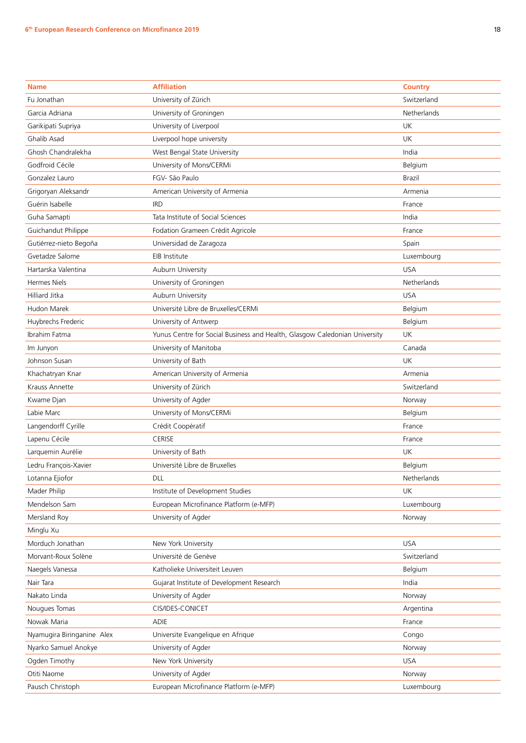| <b>Affiliation</b><br><b>Country</b><br><b>Name</b><br>Fu Jonathan<br>University of Zürich<br>Switzerland<br>University of Groningen<br>Netherlands<br>Garcia Adriana<br>University of Liverpool<br>UK<br>Garikipati Supriya<br>Ghalib Asad<br>Liverpool hope university<br>UK<br>Ghosh Chandralekha<br>West Bengal State University<br>India<br>Godfroid Cécile<br>University of Mons/CERMi<br>Belgium<br>FGV- São Paulo<br>Gonzalez Lauro<br><b>Brazil</b><br>Grigoryan Aleksandr<br>American University of Armenia<br>Armenia<br>Guérin Isabelle<br><b>IRD</b><br>France<br>Tata Institute of Social Sciences<br>Guha Samapti<br>India<br>Guichandut Philippe<br>Fodation Grameen Crédit Agricole<br>France<br>Universidad de Zaragoza<br>Gutiérrez-nieto Begoña<br>Spain<br>Gvetadze Salome<br>Luxembourg<br>EIB Institute<br><b>USA</b><br>Hartarska Valentina<br>Auburn University<br><b>Hermes Niels</b><br>University of Groningen<br>Netherlands<br><b>Hilliard Jitka</b><br>Auburn University<br><b>USA</b><br>Université Libre de Bruxelles/CERMi<br>Belgium<br>Hudon Marek<br>Huybrechs Frederic<br>University of Antwerp<br>Belgium<br>Ibrahim Fatma<br>UK<br>Yunus Centre for Social Business and Health, Glasgow Caledonian University<br>University of Manitoba<br>Canada<br>Im Junyon<br>University of Bath<br>Johnson Susan<br>UK<br>American University of Armenia<br>Khachatryan Knar<br>Armenia<br>University of Zürich<br>Krauss Annette<br>Switzerland<br>University of Agder<br>Kwame Djan<br>Norway<br>University of Mons/CERMi<br>Labie Marc<br>Belgium<br>Crédit Coopératif<br>Langendorff Cyrille<br>France<br>CERISE<br>Lapenu Cécile<br>France<br>Larquemin Aurélie<br>University of Bath<br>UK<br>Ledru François-Xavier<br>Université Libre de Bruxelles<br>Belgium<br>Lotanna Ejiofor<br>DLL<br>Netherlands<br>Institute of Development Studies<br>UK<br>Mader Philip<br>Mendelson Sam<br>European Microfinance Platform (e-MFP)<br>Luxembourg<br>Mersland Roy<br>University of Agder<br>Norway<br>Minglu Xu<br>Morduch Jonathan<br><b>USA</b><br>New York University<br>Université de Genève<br>Morvant-Roux Solène<br>Switzerland<br>Belgium<br>Naegels Vanessa<br>Katholieke Universiteit Leuven<br>Nair Tara<br>Gujarat Institute of Development Research<br>India<br>University of Agder<br>Nakato Linda<br>Norway<br>CIS/IDES-CONICET<br>Nougues Tomas<br>Argentina<br>ADIE<br>Nowak Maria<br>France<br>Nyamugira Biringanine Alex<br>Universite Evangelique en Afrique<br>Congo<br>Nyarko Samuel Anokye<br>University of Agder<br>Norway<br>Ogden Timothy<br>New York University<br><b>USA</b><br>Otiti Naome<br>University of Agder<br>Norway<br>European Microfinance Platform (e-MFP)<br>Pausch Christoph<br>Luxembourg |  |  |
|-------------------------------------------------------------------------------------------------------------------------------------------------------------------------------------------------------------------------------------------------------------------------------------------------------------------------------------------------------------------------------------------------------------------------------------------------------------------------------------------------------------------------------------------------------------------------------------------------------------------------------------------------------------------------------------------------------------------------------------------------------------------------------------------------------------------------------------------------------------------------------------------------------------------------------------------------------------------------------------------------------------------------------------------------------------------------------------------------------------------------------------------------------------------------------------------------------------------------------------------------------------------------------------------------------------------------------------------------------------------------------------------------------------------------------------------------------------------------------------------------------------------------------------------------------------------------------------------------------------------------------------------------------------------------------------------------------------------------------------------------------------------------------------------------------------------------------------------------------------------------------------------------------------------------------------------------------------------------------------------------------------------------------------------------------------------------------------------------------------------------------------------------------------------------------------------------------------------------------------------------------------------------------------------------------------------------------------------------------------------------------------------------------------------------------------------------------------------------------------------------------------------------------------------------------------------------------------------------------------------------------------------------------------------------------------------------------------------------------------------------------------------|--|--|
|                                                                                                                                                                                                                                                                                                                                                                                                                                                                                                                                                                                                                                                                                                                                                                                                                                                                                                                                                                                                                                                                                                                                                                                                                                                                                                                                                                                                                                                                                                                                                                                                                                                                                                                                                                                                                                                                                                                                                                                                                                                                                                                                                                                                                                                                                                                                                                                                                                                                                                                                                                                                                                                                                                                                                                   |  |  |
|                                                                                                                                                                                                                                                                                                                                                                                                                                                                                                                                                                                                                                                                                                                                                                                                                                                                                                                                                                                                                                                                                                                                                                                                                                                                                                                                                                                                                                                                                                                                                                                                                                                                                                                                                                                                                                                                                                                                                                                                                                                                                                                                                                                                                                                                                                                                                                                                                                                                                                                                                                                                                                                                                                                                                                   |  |  |
|                                                                                                                                                                                                                                                                                                                                                                                                                                                                                                                                                                                                                                                                                                                                                                                                                                                                                                                                                                                                                                                                                                                                                                                                                                                                                                                                                                                                                                                                                                                                                                                                                                                                                                                                                                                                                                                                                                                                                                                                                                                                                                                                                                                                                                                                                                                                                                                                                                                                                                                                                                                                                                                                                                                                                                   |  |  |
|                                                                                                                                                                                                                                                                                                                                                                                                                                                                                                                                                                                                                                                                                                                                                                                                                                                                                                                                                                                                                                                                                                                                                                                                                                                                                                                                                                                                                                                                                                                                                                                                                                                                                                                                                                                                                                                                                                                                                                                                                                                                                                                                                                                                                                                                                                                                                                                                                                                                                                                                                                                                                                                                                                                                                                   |  |  |
|                                                                                                                                                                                                                                                                                                                                                                                                                                                                                                                                                                                                                                                                                                                                                                                                                                                                                                                                                                                                                                                                                                                                                                                                                                                                                                                                                                                                                                                                                                                                                                                                                                                                                                                                                                                                                                                                                                                                                                                                                                                                                                                                                                                                                                                                                                                                                                                                                                                                                                                                                                                                                                                                                                                                                                   |  |  |
|                                                                                                                                                                                                                                                                                                                                                                                                                                                                                                                                                                                                                                                                                                                                                                                                                                                                                                                                                                                                                                                                                                                                                                                                                                                                                                                                                                                                                                                                                                                                                                                                                                                                                                                                                                                                                                                                                                                                                                                                                                                                                                                                                                                                                                                                                                                                                                                                                                                                                                                                                                                                                                                                                                                                                                   |  |  |
|                                                                                                                                                                                                                                                                                                                                                                                                                                                                                                                                                                                                                                                                                                                                                                                                                                                                                                                                                                                                                                                                                                                                                                                                                                                                                                                                                                                                                                                                                                                                                                                                                                                                                                                                                                                                                                                                                                                                                                                                                                                                                                                                                                                                                                                                                                                                                                                                                                                                                                                                                                                                                                                                                                                                                                   |  |  |
|                                                                                                                                                                                                                                                                                                                                                                                                                                                                                                                                                                                                                                                                                                                                                                                                                                                                                                                                                                                                                                                                                                                                                                                                                                                                                                                                                                                                                                                                                                                                                                                                                                                                                                                                                                                                                                                                                                                                                                                                                                                                                                                                                                                                                                                                                                                                                                                                                                                                                                                                                                                                                                                                                                                                                                   |  |  |
|                                                                                                                                                                                                                                                                                                                                                                                                                                                                                                                                                                                                                                                                                                                                                                                                                                                                                                                                                                                                                                                                                                                                                                                                                                                                                                                                                                                                                                                                                                                                                                                                                                                                                                                                                                                                                                                                                                                                                                                                                                                                                                                                                                                                                                                                                                                                                                                                                                                                                                                                                                                                                                                                                                                                                                   |  |  |
|                                                                                                                                                                                                                                                                                                                                                                                                                                                                                                                                                                                                                                                                                                                                                                                                                                                                                                                                                                                                                                                                                                                                                                                                                                                                                                                                                                                                                                                                                                                                                                                                                                                                                                                                                                                                                                                                                                                                                                                                                                                                                                                                                                                                                                                                                                                                                                                                                                                                                                                                                                                                                                                                                                                                                                   |  |  |
|                                                                                                                                                                                                                                                                                                                                                                                                                                                                                                                                                                                                                                                                                                                                                                                                                                                                                                                                                                                                                                                                                                                                                                                                                                                                                                                                                                                                                                                                                                                                                                                                                                                                                                                                                                                                                                                                                                                                                                                                                                                                                                                                                                                                                                                                                                                                                                                                                                                                                                                                                                                                                                                                                                                                                                   |  |  |
|                                                                                                                                                                                                                                                                                                                                                                                                                                                                                                                                                                                                                                                                                                                                                                                                                                                                                                                                                                                                                                                                                                                                                                                                                                                                                                                                                                                                                                                                                                                                                                                                                                                                                                                                                                                                                                                                                                                                                                                                                                                                                                                                                                                                                                                                                                                                                                                                                                                                                                                                                                                                                                                                                                                                                                   |  |  |
|                                                                                                                                                                                                                                                                                                                                                                                                                                                                                                                                                                                                                                                                                                                                                                                                                                                                                                                                                                                                                                                                                                                                                                                                                                                                                                                                                                                                                                                                                                                                                                                                                                                                                                                                                                                                                                                                                                                                                                                                                                                                                                                                                                                                                                                                                                                                                                                                                                                                                                                                                                                                                                                                                                                                                                   |  |  |
|                                                                                                                                                                                                                                                                                                                                                                                                                                                                                                                                                                                                                                                                                                                                                                                                                                                                                                                                                                                                                                                                                                                                                                                                                                                                                                                                                                                                                                                                                                                                                                                                                                                                                                                                                                                                                                                                                                                                                                                                                                                                                                                                                                                                                                                                                                                                                                                                                                                                                                                                                                                                                                                                                                                                                                   |  |  |
|                                                                                                                                                                                                                                                                                                                                                                                                                                                                                                                                                                                                                                                                                                                                                                                                                                                                                                                                                                                                                                                                                                                                                                                                                                                                                                                                                                                                                                                                                                                                                                                                                                                                                                                                                                                                                                                                                                                                                                                                                                                                                                                                                                                                                                                                                                                                                                                                                                                                                                                                                                                                                                                                                                                                                                   |  |  |
|                                                                                                                                                                                                                                                                                                                                                                                                                                                                                                                                                                                                                                                                                                                                                                                                                                                                                                                                                                                                                                                                                                                                                                                                                                                                                                                                                                                                                                                                                                                                                                                                                                                                                                                                                                                                                                                                                                                                                                                                                                                                                                                                                                                                                                                                                                                                                                                                                                                                                                                                                                                                                                                                                                                                                                   |  |  |
|                                                                                                                                                                                                                                                                                                                                                                                                                                                                                                                                                                                                                                                                                                                                                                                                                                                                                                                                                                                                                                                                                                                                                                                                                                                                                                                                                                                                                                                                                                                                                                                                                                                                                                                                                                                                                                                                                                                                                                                                                                                                                                                                                                                                                                                                                                                                                                                                                                                                                                                                                                                                                                                                                                                                                                   |  |  |
|                                                                                                                                                                                                                                                                                                                                                                                                                                                                                                                                                                                                                                                                                                                                                                                                                                                                                                                                                                                                                                                                                                                                                                                                                                                                                                                                                                                                                                                                                                                                                                                                                                                                                                                                                                                                                                                                                                                                                                                                                                                                                                                                                                                                                                                                                                                                                                                                                                                                                                                                                                                                                                                                                                                                                                   |  |  |
|                                                                                                                                                                                                                                                                                                                                                                                                                                                                                                                                                                                                                                                                                                                                                                                                                                                                                                                                                                                                                                                                                                                                                                                                                                                                                                                                                                                                                                                                                                                                                                                                                                                                                                                                                                                                                                                                                                                                                                                                                                                                                                                                                                                                                                                                                                                                                                                                                                                                                                                                                                                                                                                                                                                                                                   |  |  |
|                                                                                                                                                                                                                                                                                                                                                                                                                                                                                                                                                                                                                                                                                                                                                                                                                                                                                                                                                                                                                                                                                                                                                                                                                                                                                                                                                                                                                                                                                                                                                                                                                                                                                                                                                                                                                                                                                                                                                                                                                                                                                                                                                                                                                                                                                                                                                                                                                                                                                                                                                                                                                                                                                                                                                                   |  |  |
|                                                                                                                                                                                                                                                                                                                                                                                                                                                                                                                                                                                                                                                                                                                                                                                                                                                                                                                                                                                                                                                                                                                                                                                                                                                                                                                                                                                                                                                                                                                                                                                                                                                                                                                                                                                                                                                                                                                                                                                                                                                                                                                                                                                                                                                                                                                                                                                                                                                                                                                                                                                                                                                                                                                                                                   |  |  |
|                                                                                                                                                                                                                                                                                                                                                                                                                                                                                                                                                                                                                                                                                                                                                                                                                                                                                                                                                                                                                                                                                                                                                                                                                                                                                                                                                                                                                                                                                                                                                                                                                                                                                                                                                                                                                                                                                                                                                                                                                                                                                                                                                                                                                                                                                                                                                                                                                                                                                                                                                                                                                                                                                                                                                                   |  |  |
|                                                                                                                                                                                                                                                                                                                                                                                                                                                                                                                                                                                                                                                                                                                                                                                                                                                                                                                                                                                                                                                                                                                                                                                                                                                                                                                                                                                                                                                                                                                                                                                                                                                                                                                                                                                                                                                                                                                                                                                                                                                                                                                                                                                                                                                                                                                                                                                                                                                                                                                                                                                                                                                                                                                                                                   |  |  |
|                                                                                                                                                                                                                                                                                                                                                                                                                                                                                                                                                                                                                                                                                                                                                                                                                                                                                                                                                                                                                                                                                                                                                                                                                                                                                                                                                                                                                                                                                                                                                                                                                                                                                                                                                                                                                                                                                                                                                                                                                                                                                                                                                                                                                                                                                                                                                                                                                                                                                                                                                                                                                                                                                                                                                                   |  |  |
|                                                                                                                                                                                                                                                                                                                                                                                                                                                                                                                                                                                                                                                                                                                                                                                                                                                                                                                                                                                                                                                                                                                                                                                                                                                                                                                                                                                                                                                                                                                                                                                                                                                                                                                                                                                                                                                                                                                                                                                                                                                                                                                                                                                                                                                                                                                                                                                                                                                                                                                                                                                                                                                                                                                                                                   |  |  |
|                                                                                                                                                                                                                                                                                                                                                                                                                                                                                                                                                                                                                                                                                                                                                                                                                                                                                                                                                                                                                                                                                                                                                                                                                                                                                                                                                                                                                                                                                                                                                                                                                                                                                                                                                                                                                                                                                                                                                                                                                                                                                                                                                                                                                                                                                                                                                                                                                                                                                                                                                                                                                                                                                                                                                                   |  |  |
|                                                                                                                                                                                                                                                                                                                                                                                                                                                                                                                                                                                                                                                                                                                                                                                                                                                                                                                                                                                                                                                                                                                                                                                                                                                                                                                                                                                                                                                                                                                                                                                                                                                                                                                                                                                                                                                                                                                                                                                                                                                                                                                                                                                                                                                                                                                                                                                                                                                                                                                                                                                                                                                                                                                                                                   |  |  |
|                                                                                                                                                                                                                                                                                                                                                                                                                                                                                                                                                                                                                                                                                                                                                                                                                                                                                                                                                                                                                                                                                                                                                                                                                                                                                                                                                                                                                                                                                                                                                                                                                                                                                                                                                                                                                                                                                                                                                                                                                                                                                                                                                                                                                                                                                                                                                                                                                                                                                                                                                                                                                                                                                                                                                                   |  |  |
|                                                                                                                                                                                                                                                                                                                                                                                                                                                                                                                                                                                                                                                                                                                                                                                                                                                                                                                                                                                                                                                                                                                                                                                                                                                                                                                                                                                                                                                                                                                                                                                                                                                                                                                                                                                                                                                                                                                                                                                                                                                                                                                                                                                                                                                                                                                                                                                                                                                                                                                                                                                                                                                                                                                                                                   |  |  |
|                                                                                                                                                                                                                                                                                                                                                                                                                                                                                                                                                                                                                                                                                                                                                                                                                                                                                                                                                                                                                                                                                                                                                                                                                                                                                                                                                                                                                                                                                                                                                                                                                                                                                                                                                                                                                                                                                                                                                                                                                                                                                                                                                                                                                                                                                                                                                                                                                                                                                                                                                                                                                                                                                                                                                                   |  |  |
|                                                                                                                                                                                                                                                                                                                                                                                                                                                                                                                                                                                                                                                                                                                                                                                                                                                                                                                                                                                                                                                                                                                                                                                                                                                                                                                                                                                                                                                                                                                                                                                                                                                                                                                                                                                                                                                                                                                                                                                                                                                                                                                                                                                                                                                                                                                                                                                                                                                                                                                                                                                                                                                                                                                                                                   |  |  |
|                                                                                                                                                                                                                                                                                                                                                                                                                                                                                                                                                                                                                                                                                                                                                                                                                                                                                                                                                                                                                                                                                                                                                                                                                                                                                                                                                                                                                                                                                                                                                                                                                                                                                                                                                                                                                                                                                                                                                                                                                                                                                                                                                                                                                                                                                                                                                                                                                                                                                                                                                                                                                                                                                                                                                                   |  |  |
|                                                                                                                                                                                                                                                                                                                                                                                                                                                                                                                                                                                                                                                                                                                                                                                                                                                                                                                                                                                                                                                                                                                                                                                                                                                                                                                                                                                                                                                                                                                                                                                                                                                                                                                                                                                                                                                                                                                                                                                                                                                                                                                                                                                                                                                                                                                                                                                                                                                                                                                                                                                                                                                                                                                                                                   |  |  |
|                                                                                                                                                                                                                                                                                                                                                                                                                                                                                                                                                                                                                                                                                                                                                                                                                                                                                                                                                                                                                                                                                                                                                                                                                                                                                                                                                                                                                                                                                                                                                                                                                                                                                                                                                                                                                                                                                                                                                                                                                                                                                                                                                                                                                                                                                                                                                                                                                                                                                                                                                                                                                                                                                                                                                                   |  |  |
|                                                                                                                                                                                                                                                                                                                                                                                                                                                                                                                                                                                                                                                                                                                                                                                                                                                                                                                                                                                                                                                                                                                                                                                                                                                                                                                                                                                                                                                                                                                                                                                                                                                                                                                                                                                                                                                                                                                                                                                                                                                                                                                                                                                                                                                                                                                                                                                                                                                                                                                                                                                                                                                                                                                                                                   |  |  |
|                                                                                                                                                                                                                                                                                                                                                                                                                                                                                                                                                                                                                                                                                                                                                                                                                                                                                                                                                                                                                                                                                                                                                                                                                                                                                                                                                                                                                                                                                                                                                                                                                                                                                                                                                                                                                                                                                                                                                                                                                                                                                                                                                                                                                                                                                                                                                                                                                                                                                                                                                                                                                                                                                                                                                                   |  |  |
|                                                                                                                                                                                                                                                                                                                                                                                                                                                                                                                                                                                                                                                                                                                                                                                                                                                                                                                                                                                                                                                                                                                                                                                                                                                                                                                                                                                                                                                                                                                                                                                                                                                                                                                                                                                                                                                                                                                                                                                                                                                                                                                                                                                                                                                                                                                                                                                                                                                                                                                                                                                                                                                                                                                                                                   |  |  |
|                                                                                                                                                                                                                                                                                                                                                                                                                                                                                                                                                                                                                                                                                                                                                                                                                                                                                                                                                                                                                                                                                                                                                                                                                                                                                                                                                                                                                                                                                                                                                                                                                                                                                                                                                                                                                                                                                                                                                                                                                                                                                                                                                                                                                                                                                                                                                                                                                                                                                                                                                                                                                                                                                                                                                                   |  |  |
|                                                                                                                                                                                                                                                                                                                                                                                                                                                                                                                                                                                                                                                                                                                                                                                                                                                                                                                                                                                                                                                                                                                                                                                                                                                                                                                                                                                                                                                                                                                                                                                                                                                                                                                                                                                                                                                                                                                                                                                                                                                                                                                                                                                                                                                                                                                                                                                                                                                                                                                                                                                                                                                                                                                                                                   |  |  |
|                                                                                                                                                                                                                                                                                                                                                                                                                                                                                                                                                                                                                                                                                                                                                                                                                                                                                                                                                                                                                                                                                                                                                                                                                                                                                                                                                                                                                                                                                                                                                                                                                                                                                                                                                                                                                                                                                                                                                                                                                                                                                                                                                                                                                                                                                                                                                                                                                                                                                                                                                                                                                                                                                                                                                                   |  |  |
|                                                                                                                                                                                                                                                                                                                                                                                                                                                                                                                                                                                                                                                                                                                                                                                                                                                                                                                                                                                                                                                                                                                                                                                                                                                                                                                                                                                                                                                                                                                                                                                                                                                                                                                                                                                                                                                                                                                                                                                                                                                                                                                                                                                                                                                                                                                                                                                                                                                                                                                                                                                                                                                                                                                                                                   |  |  |
|                                                                                                                                                                                                                                                                                                                                                                                                                                                                                                                                                                                                                                                                                                                                                                                                                                                                                                                                                                                                                                                                                                                                                                                                                                                                                                                                                                                                                                                                                                                                                                                                                                                                                                                                                                                                                                                                                                                                                                                                                                                                                                                                                                                                                                                                                                                                                                                                                                                                                                                                                                                                                                                                                                                                                                   |  |  |
|                                                                                                                                                                                                                                                                                                                                                                                                                                                                                                                                                                                                                                                                                                                                                                                                                                                                                                                                                                                                                                                                                                                                                                                                                                                                                                                                                                                                                                                                                                                                                                                                                                                                                                                                                                                                                                                                                                                                                                                                                                                                                                                                                                                                                                                                                                                                                                                                                                                                                                                                                                                                                                                                                                                                                                   |  |  |
|                                                                                                                                                                                                                                                                                                                                                                                                                                                                                                                                                                                                                                                                                                                                                                                                                                                                                                                                                                                                                                                                                                                                                                                                                                                                                                                                                                                                                                                                                                                                                                                                                                                                                                                                                                                                                                                                                                                                                                                                                                                                                                                                                                                                                                                                                                                                                                                                                                                                                                                                                                                                                                                                                                                                                                   |  |  |
|                                                                                                                                                                                                                                                                                                                                                                                                                                                                                                                                                                                                                                                                                                                                                                                                                                                                                                                                                                                                                                                                                                                                                                                                                                                                                                                                                                                                                                                                                                                                                                                                                                                                                                                                                                                                                                                                                                                                                                                                                                                                                                                                                                                                                                                                                                                                                                                                                                                                                                                                                                                                                                                                                                                                                                   |  |  |
|                                                                                                                                                                                                                                                                                                                                                                                                                                                                                                                                                                                                                                                                                                                                                                                                                                                                                                                                                                                                                                                                                                                                                                                                                                                                                                                                                                                                                                                                                                                                                                                                                                                                                                                                                                                                                                                                                                                                                                                                                                                                                                                                                                                                                                                                                                                                                                                                                                                                                                                                                                                                                                                                                                                                                                   |  |  |
|                                                                                                                                                                                                                                                                                                                                                                                                                                                                                                                                                                                                                                                                                                                                                                                                                                                                                                                                                                                                                                                                                                                                                                                                                                                                                                                                                                                                                                                                                                                                                                                                                                                                                                                                                                                                                                                                                                                                                                                                                                                                                                                                                                                                                                                                                                                                                                                                                                                                                                                                                                                                                                                                                                                                                                   |  |  |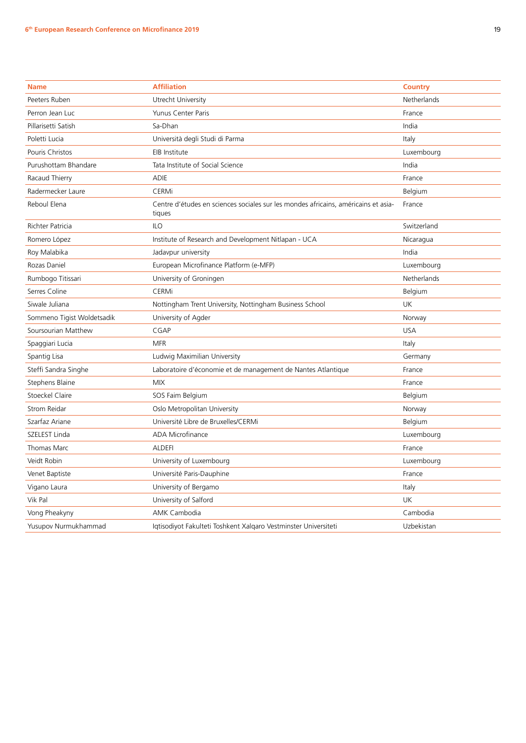| <b>Name</b>                | <b>Affiliation</b>                                                                           | <b>Country</b> |
|----------------------------|----------------------------------------------------------------------------------------------|----------------|
| Peeters Ruben              | Utrecht University                                                                           | Netherlands    |
| Perron Jean Luc            | <b>Yunus Center Paris</b>                                                                    | France         |
| Pillarisetti Satish        | Sa-Dhan                                                                                      | India          |
| Poletti Lucia              | Università degli Studi di Parma                                                              | Italy          |
| Pouris Christos            | EIB Institute                                                                                | Luxembourg     |
| Purushottam Bhandare       | Tata Institute of Social Science                                                             | India          |
| Racaud Thierry             | <b>ADIE</b>                                                                                  | France         |
| Radermecker Laure          | <b>CERMi</b>                                                                                 | Belgium        |
| Reboul Elena               | Centre d'études en sciences sociales sur les mondes africains, américains et asia-<br>tiques | France         |
| Richter Patricia           | <b>ILO</b>                                                                                   | Switzerland    |
| Romero López               | Institute of Research and Development Nitlapan - UCA                                         | Nicaragua      |
| Roy Malabika               | Jadavpur university                                                                          | India          |
| Rozas Daniel               | European Microfinance Platform (e-MFP)                                                       | Luxembourg     |
| Rumbogo Titissari          | University of Groningen                                                                      | Netherlands    |
| Serres Coline              | CERMi                                                                                        | Belgium        |
| Siwale Juliana             | Nottingham Trent University, Nottingham Business School                                      | UK             |
| Sommeno Tigist Woldetsadik | University of Agder                                                                          | Norway         |
| Soursourian Matthew        | CGAP                                                                                         | <b>USA</b>     |
| Spaggiari Lucia            | <b>MFR</b>                                                                                   | Italy          |
| Spantig Lisa               | Ludwig Maximilian University                                                                 | Germany        |
| Steffi Sandra Singhe       | Laboratoire d'économie et de management de Nantes Atlantique                                 | France         |
| Stephens Blaine            | <b>MIX</b>                                                                                   | France         |
| <b>Stoeckel Claire</b>     | SOS Faim Belgium                                                                             | Belgium        |
| Strom Reidar               | Oslo Metropolitan University                                                                 | Norway         |
| Szarfaz Ariane             | Université Libre de Bruxelles/CERMi                                                          | Belgium        |
| SZELEST Linda              | ADA Microfinance                                                                             | Luxembourg     |
| Thomas Marc                | <b>ALDEFI</b>                                                                                | France         |
| Veidt Robin                | University of Luxembourg                                                                     | Luxembourg     |
| Venet Baptiste             | Université Paris-Dauphine                                                                    | France         |
| Vigano Laura               | University of Bergamo                                                                        | Italy          |
| Vik Pal                    | University of Salford                                                                        | UK             |
| Vong Pheakyny              | AMK Cambodia                                                                                 | Cambodia       |
| Yusupov Nurmukhammad       | Iqtisodiyot Fakulteti Toshkent Xalqaro Vestminster Universiteti                              | Uzbekistan     |